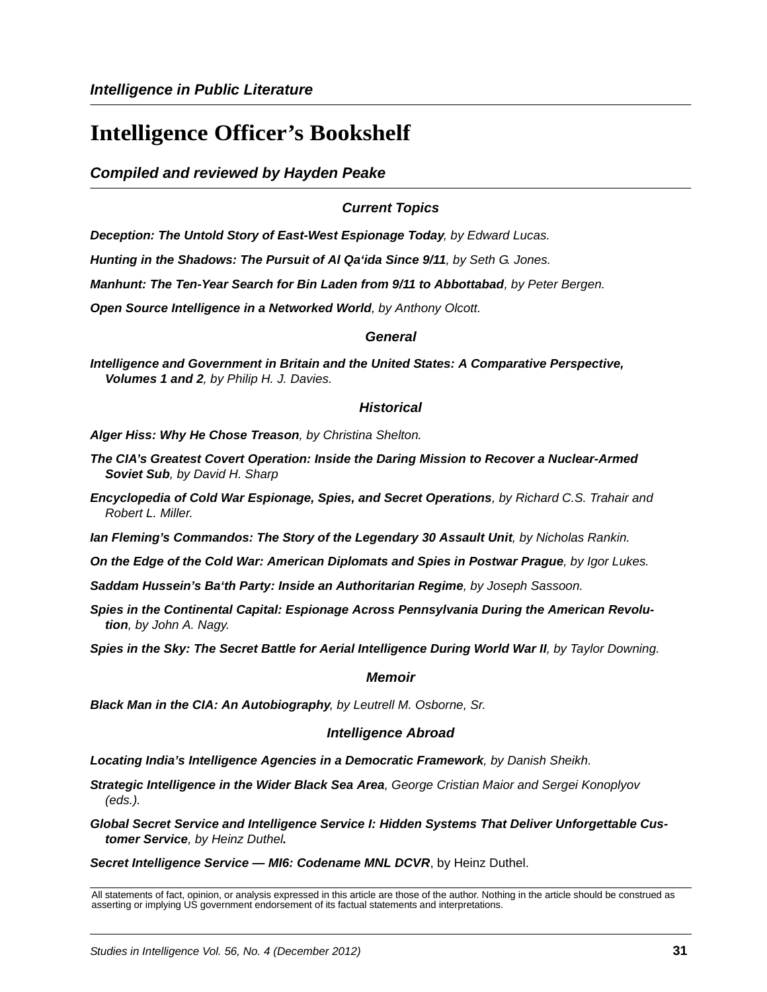# **Intelligence Officer's Bookshelf**

*Compiled and reviewed by Hayden Peake*

#### *Current Topics*

*Deception: The Untold Story of East-West Espionage Today, by Edward Lucas.*

*Hunting in the Shadows: The Pursuit of Al Qa'ida Since 9/11, by Seth G. Jones.*

*Manhunt: The Ten-Year Search for Bin Laden from 9/11 to Abbottabad, by Peter Bergen.*

*Open Source Intelligence in a Networked World, by Anthony Olcott.*

#### *General*

*Intelligence and Government in Britain and the United States: A Comparative Perspective, Volumes 1 and 2, by Philip H. J. Davies.*

#### *Historical*

*Alger Hiss: Why He Chose Treason, by Christina Shelton.*

- *The CIA's Greatest Covert Operation: Inside the Daring Mission to Recover a Nuclear-Armed Soviet Sub, by David H. Sharp*
- *Encyclopedia of Cold War Espionage, Spies, and Secret Operations, by Richard C.S. Trahair and Robert L. Miller.*

*Ian Fleming's Commandos: The Story of the Legendary 30 Assault Unit, by Nicholas Rankin.*

*On the Edge of the Cold War: American Diplomats and Spies in Postwar Prague, by Igor Lukes.*

*Saddam Hussein's Ba'th Party: Inside an Authoritarian Regime, by Joseph Sassoon.*

*Spies in the Continental Capital: Espionage Across Pennsylvania During the American Revolution, by John A. Nagy.*

**Spies in the Sky: The Secret Battle for Aerial Intelligence During World War II**, by Taylor Downing.

#### *Memoir*

*Black Man in the CIA: An Autobiography, by Leutrell M. Osborne, Sr.*

#### *Intelligence Abroad*

*Locating India's Intelligence Agencies in a Democratic Framework, by Danish Sheikh.*

*Strategic Intelligence in the Wider Black Sea Area, George Cristian Maior and Sergei Konoplyov (eds.).*

*Global Secret Service and Intelligence Service I: Hidden Systems That Deliver Unforgettable Customer Service, by Heinz Duthel.*

*Secret Intelligence Service — MI6: Codename MNL DCVR*, by Heinz Duthel.

All statements of fact, opinion, or analysis expressed in this article are those of the author. Nothing in the article should be construed as asserting or implying US government endorsement of its factual statements and interpretations.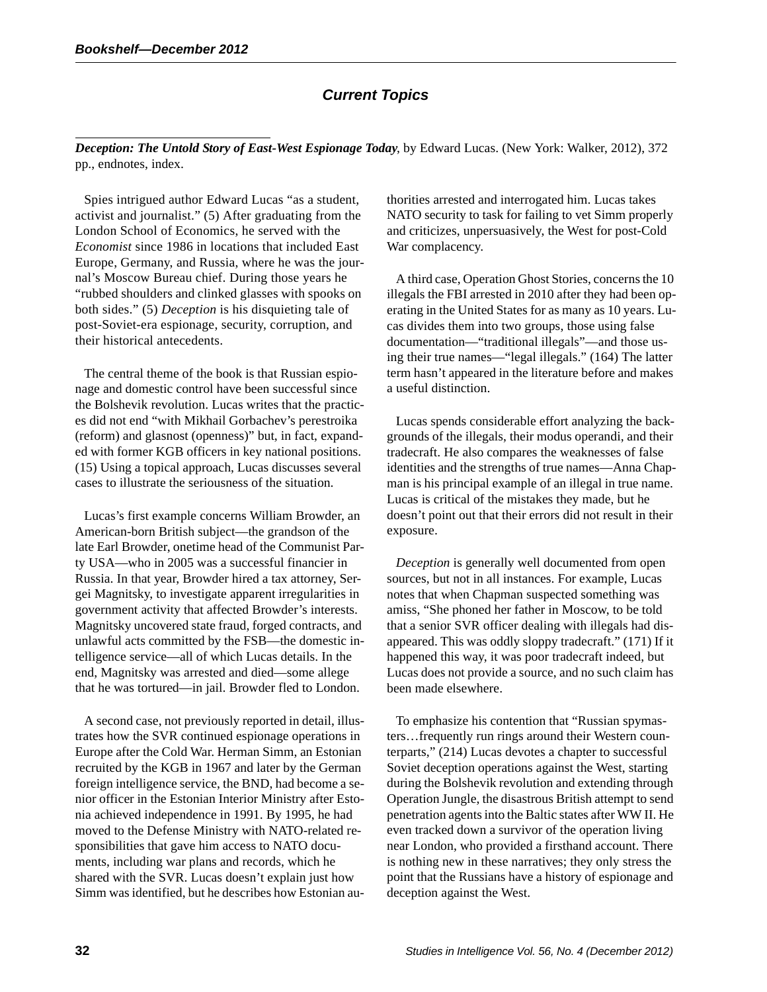# *Current Topics*

*Deception: The Untold Story of East-West Espionage Today*, by Edward Lucas. (New York: Walker, 2012), 372 pp., endnotes, index.

Spies intrigued author Edward Lucas "as a student, activist and journalist." (5) After graduating from the London School of Economics, he served with the *Economist* since 1986 in locations that included East Europe, Germany, and Russia, where he was the journal's Moscow Bureau chief. During those years he "rubbed shoulders and clinked glasses with spooks on both sides." (5) *Deception* is his disquieting tale of post-Soviet-era espionage, security, corruption, and their historical antecedents.

The central theme of the book is that Russian espionage and domestic control have been successful since the Bolshevik revolution. Lucas writes that the practices did not end "with Mikhail Gorbachev's perestroika (reform) and glasnost (openness)" but, in fact, expanded with former KGB officers in key national positions. (15) Using a topical approach, Lucas discusses several cases to illustrate the seriousness of the situation.

Lucas's first example concerns William Browder, an American-born British subject—the grandson of the late Earl Browder, onetime head of the Communist Party USA—who in 2005 was a successful financier in Russia. In that year, Browder hired a tax attorney, Sergei Magnitsky, to investigate apparent irregularities in government activity that affected Browder's interests. Magnitsky uncovered state fraud, forged contracts, and unlawful acts committed by the FSB—the domestic intelligence service—all of which Lucas details. In the end, Magnitsky was arrested and died—some allege that he was tortured—in jail. Browder fled to London.

A second case, not previously reported in detail, illustrates how the SVR continued espionage operations in Europe after the Cold War. Herman Simm, an Estonian recruited by the KGB in 1967 and later by the German foreign intelligence service, the BND, had become a senior officer in the Estonian Interior Ministry after Estonia achieved independence in 1991. By 1995, he had moved to the Defense Ministry with NATO-related responsibilities that gave him access to NATO documents, including war plans and records, which he shared with the SVR. Lucas doesn't explain just how Simm was identified, but he describes how Estonian authorities arrested and interrogated him. Lucas takes NATO security to task for failing to vet Simm properly and criticizes, unpersuasively, the West for post-Cold War complacency.

A third case, Operation Ghost Stories, concerns the 10 illegals the FBI arrested in 2010 after they had been operating in the United States for as many as 10 years. Lucas divides them into two groups, those using false documentation—"traditional illegals"—and those using their true names—"legal illegals." (164) The latter term hasn't appeared in the literature before and makes a useful distinction.

Lucas spends considerable effort analyzing the backgrounds of the illegals, their modus operandi, and their tradecraft. He also compares the weaknesses of false identities and the strengths of true names—Anna Chapman is his principal example of an illegal in true name. Lucas is critical of the mistakes they made, but he doesn't point out that their errors did not result in their exposure.

*Deception* is generally well documented from open sources, but not in all instances. For example, Lucas notes that when Chapman suspected something was amiss, "She phoned her father in Moscow, to be told that a senior SVR officer dealing with illegals had disappeared. This was oddly sloppy tradecraft." (171) If it happened this way, it was poor tradecraft indeed, but Lucas does not provide a source, and no such claim has been made elsewhere.

To emphasize his contention that "Russian spymasters…frequently run rings around their Western counterparts," (214) Lucas devotes a chapter to successful Soviet deception operations against the West, starting during the Bolshevik revolution and extending through Operation Jungle, the disastrous British attempt to send penetration agents into the Baltic states after WW II. He even tracked down a survivor of the operation living near London, who provided a firsthand account. There is nothing new in these narratives; they only stress the point that the Russians have a history of espionage and deception against the West.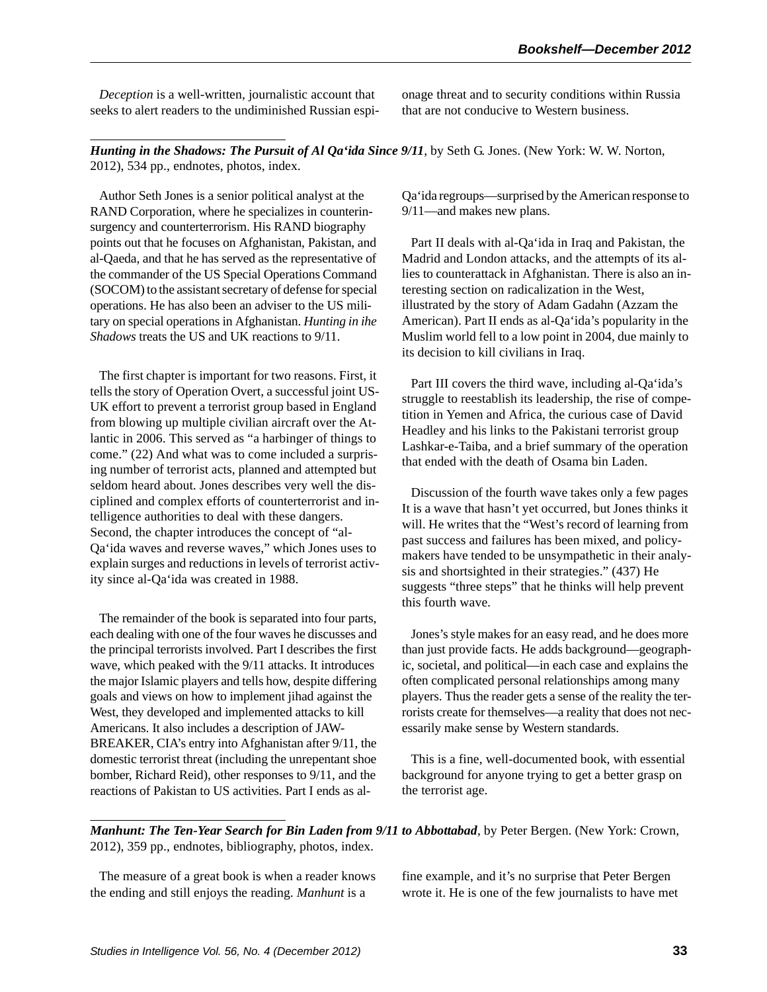*Deception* is a well-written, journalistic account that seeks to alert readers to the undiminished Russian espionage threat and to security conditions within Russia that are not conducive to Western business.

*Hunting in the Shadows: The Pursuit of Al Qa'ida Since 9/11*, by Seth G. Jones. (New York: W. W. Norton, 2012), 534 pp., endnotes, photos, index.

Author Seth Jones is a senior political analyst at the RAND Corporation, where he specializes in counterinsurgency and counterterrorism. His RAND biography points out that he focuses on Afghanistan, Pakistan, and al-Qaeda, and that he has served as the representative of the commander of the US Special Operations Command (SOCOM) to the assistant secretary of defense for special operations. He has also been an adviser to the US military on special operations in Afghanistan. *Hunting in ihe Shadows* treats the US and UK reactions to 9/11.

The first chapter is important for two reasons. First, it tells the story of Operation Overt, a successful joint US-UK effort to prevent a terrorist group based in England from blowing up multiple civilian aircraft over the Atlantic in 2006. This served as "a harbinger of things to come." (22) And what was to come included a surprising number of terrorist acts, planned and attempted but seldom heard about. Jones describes very well the disciplined and complex efforts of counterterrorist and intelligence authorities to deal with these dangers. Second, the chapter introduces the concept of "al-Qa'ida waves and reverse waves," which Jones uses to explain surges and reductions in levels of terrorist activity since al-Qa'ida was created in 1988.

The remainder of the book is separated into four parts, each dealing with one of the four waves he discusses and the principal terrorists involved. Part I describes the first wave, which peaked with the 9/11 attacks. It introduces the major Islamic players and tells how, despite differing goals and views on how to implement jihad against the West, they developed and implemented attacks to kill Americans. It also includes a description of JAW-BREAKER, CIA's entry into Afghanistan after 9/11, the domestic terrorist threat (including the unrepentant shoe bomber, Richard Reid), other responses to 9/11, and the reactions of Pakistan to US activities. Part I ends as alQa'ida regroups—surprised by the American response to 9/11—and makes new plans.

Part II deals with al-Qa'ida in Iraq and Pakistan, the Madrid and London attacks, and the attempts of its allies to counterattack in Afghanistan. There is also an interesting section on radicalization in the West, illustrated by the story of Adam Gadahn (Azzam the American). Part II ends as al-Qa'ida's popularity in the Muslim world fell to a low point in 2004, due mainly to its decision to kill civilians in Iraq.

Part III covers the third wave, including al-Qa'ida's struggle to reestablish its leadership, the rise of competition in Yemen and Africa, the curious case of David Headley and his links to the Pakistani terrorist group Lashkar-e-Taiba, and a brief summary of the operation that ended with the death of Osama bin Laden.

Discussion of the fourth wave takes only a few pages It is a wave that hasn't yet occurred, but Jones thinks it will. He writes that the "West's record of learning from past success and failures has been mixed, and policymakers have tended to be unsympathetic in their analysis and shortsighted in their strategies." (437) He suggests "three steps" that he thinks will help prevent this fourth wave.

Jones's style makes for an easy read, and he does more than just provide facts. He adds background—geographic, societal, and political—in each case and explains the often complicated personal relationships among many players. Thus the reader gets a sense of the reality the terrorists create for themselves—a reality that does not necessarily make sense by Western standards.

This is a fine, well-documented book, with essential background for anyone trying to get a better grasp on the terrorist age.

*Manhunt: The Ten-Year Search for Bin Laden from 9/11 to Abbottabad*, by Peter Bergen. (New York: Crown, 2012), 359 pp., endnotes, bibliography, photos, index.

The measure of a great book is when a reader knows the ending and still enjoys the reading. *Manhunt* is a

fine example, and it's no surprise that Peter Bergen wrote it. He is one of the few journalists to have met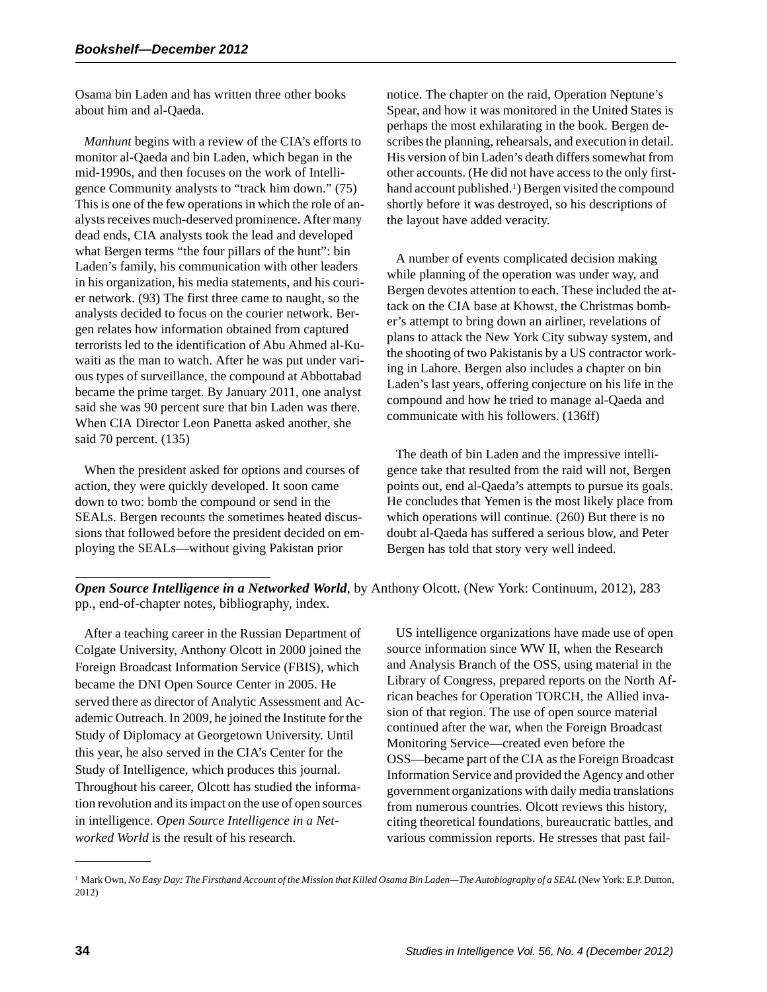Osama bin Laden and has written three other books about him and al-Qaeda.

*Manhunt* begins with a review of the CIA's efforts to monitor al-Qaeda and bin Laden, which began in the mid-1990s, and then focuses on the work of Intelligence Community analysts to "track him down." (75) This is one of the few operations in which the role of analysts receives much-deserved prominence. After many dead ends, CIA analysts took the lead and developed what Bergen terms "the four pillars of the hunt": bin Laden's family, his communication with other leaders in his organization, his media statements, and his courier network. (93) The first three came to naught, so the analysts decided to focus on the courier network. Bergen relates how information obtained from captured terrorists led to the identification of Abu Ahmed al-Kuwaiti as the man to watch. After he was put under various types of surveillance, the compound at Abbottabad became the prime target. By January 2011, one analyst said she was 90 percent sure that bin Laden was there. When CIA Director Leon Panetta asked another, she said 70 percent. (135)

When the president asked for options and courses of action, they were quickly developed. It soon came down to two: bomb the compound or send in the SEALs. Bergen recounts the sometimes heated discussions that followed before the president decided on employing the SEALs—without giving Pakistan prior

notice. The chapter on the raid, Operation Neptune's Spear, and how it was monitored in the United States is perhaps the most exhilarating in the book. Bergen describes the planning, rehearsals, and execution in detail. His version of bin Laden's death differs somewhat from other accounts. (He did not have access to the only firsthand account published.<sup>1</sup>) Bergen visited the compound shortly before it was destroyed, so his descriptions of the layout have added veracity.

A number of events complicated decision making while planning of the operation was under way, and Bergen devotes attention to each. These included the attack on the CIA base at Khowst, the Christmas bomber's attempt to bring down an airliner, revelations of plans to attack the New York City subway system, and the shooting of two Pakistanis by a US contractor working in Lahore. Bergen also includes a chapter on bin Laden's last years, offering conjecture on his life in the compound and how he tried to manage al-Qaeda and communicate with his followers. (136ff)

The death of bin Laden and the impressive intelligence take that resulted from the raid will not, Bergen points out, end al-Qaeda's attempts to pursue its goals. He concludes that Yemen is the most likely place from which operations will continue. (260) But there is no doubt al-Qaeda has suffered a serious blow, and Peter Bergen has told that story very well indeed.

#### *Open Source Intelligence in a Networked World*, by Anthony Olcott. (New York: Continuum, 2012), 283 pp., end-of-chapter notes, bibliography, index.

After a teaching career in the Russian Department of Colgate University, Anthony Olcott in 2000 joined the Foreign Broadcast Information Service (FBIS), which became the DNI Open Source Center in 2005. He served there as director of Analytic Assessment and Academic Outreach. In 2009, he joined the Institute for the Study of Diplomacy at Georgetown University. Until this year, he also served in the CIA's Center for the Study of Intelligence, which produces this journal. Throughout his career, Olcott has studied the information revolution and its impact on the use of open sources in intelligence. *Open Source Intelligence in a Networked World* is the result of his research.

US intelligence organizations have made use of open source information since WW II, when the Research and Analysis Branch of the OSS, using material in the Library of Congress, prepared reports on the North African beaches for Operation TORCH, the Allied invasion of that region. The use of open source material continued after the war, when the Foreign Broadcast Monitoring Service—created even before the OSS—became part of the CIA as the Foreign Broadcast Information Service and provided the Agency and other government organizations with daily media translations from numerous countries. Olcott reviews this history, citing theoretical foundations, bureaucratic battles, and various commission reports. He stresses that past fail-

<sup>1</sup> Mark Own, *No Easy Day: The Firsthand Account of the Mission that Killed Osama Bin Laden—The Autobiography of a SEAL* (New York: E.P. Dutton, 2012)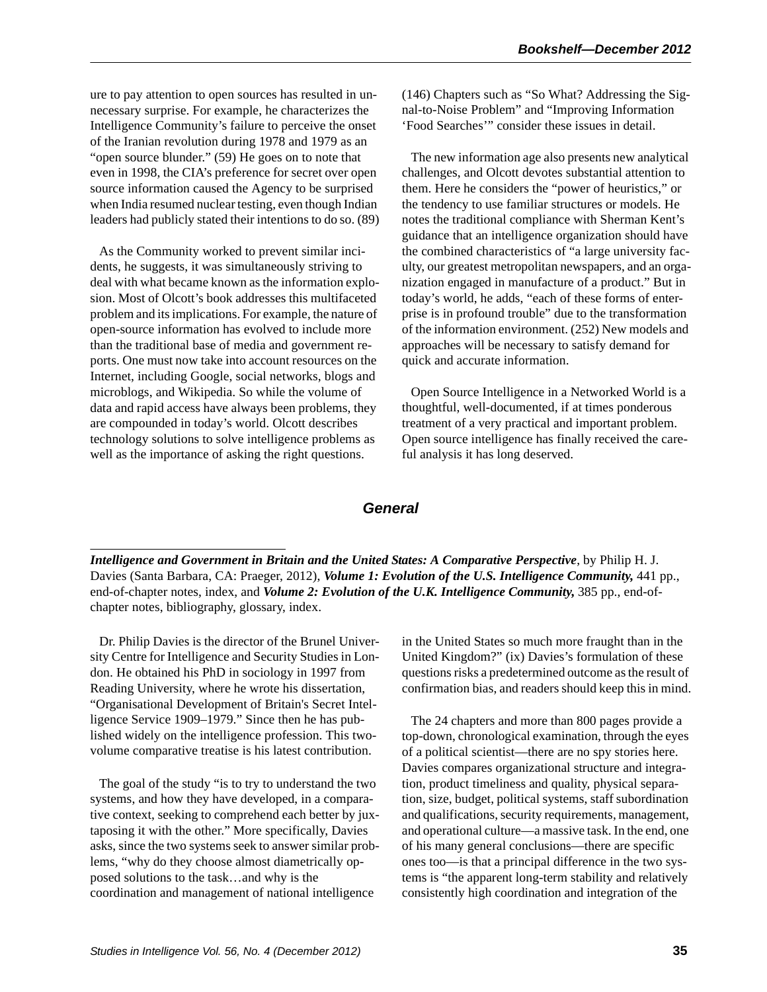ure to pay attention to open sources has resulted in unnecessary surprise. For example, he characterizes the Intelligence Community's failure to perceive the onset of the Iranian revolution during 1978 and 1979 as an "open source blunder." (59) He goes on to note that even in 1998, the CIA's preference for secret over open source information caused the Agency to be surprised when India resumed nuclear testing, even though Indian leaders had publicly stated their intentions to do so. (89)

As the Community worked to prevent similar incidents, he suggests, it was simultaneously striving to deal with what became known as the information explosion. Most of Olcott's book addresses this multifaceted problem and its implications. For example, the nature of open-source information has evolved to include more than the traditional base of media and government reports. One must now take into account resources on the Internet, including Google, social networks, blogs and microblogs, and Wikipedia. So while the volume of data and rapid access have always been problems, they are compounded in today's world. Olcott describes technology solutions to solve intelligence problems as well as the importance of asking the right questions.

(146) Chapters such as "So What? Addressing the Signal-to-Noise Problem" and "Improving Information 'Food Searches'" consider these issues in detail.

The new information age also presents new analytical challenges, and Olcott devotes substantial attention to them. Here he considers the "power of heuristics," or the tendency to use familiar structures or models. He notes the traditional compliance with Sherman Kent's guidance that an intelligence organization should have the combined characteristics of "a large university faculty, our greatest metropolitan newspapers, and an organization engaged in manufacture of a product." But in today's world, he adds, "each of these forms of enterprise is in profound trouble" due to the transformation of the information environment. (252) New models and approaches will be necessary to satisfy demand for quick and accurate information.

Open Source Intelligence in a Networked World is a thoughtful, well-documented, if at times ponderous treatment of a very practical and important problem. Open source intelligence has finally received the careful analysis it has long deserved.

# *General*

*Intelligence and Government in Britain and the United States: A Comparative Perspective*, by Philip H. J. Davies (Santa Barbara, CA: Praeger, 2012), *Volume 1: Evolution of the U.S. Intelligence Community,* 441 pp., end-of-chapter notes, index, and *Volume 2: Evolution of the U.K. Intelligence Community,* 385 pp., end-ofchapter notes, bibliography, glossary, index.

Dr. Philip Davies is the director of the Brunel University Centre for Intelligence and Security Studies in London. He obtained his PhD in sociology in 1997 from Reading University, where he wrote his dissertation, "Organisational Development of Britain's Secret Intelligence Service 1909–1979." Since then he has published widely on the intelligence profession. This twovolume comparative treatise is his latest contribution.

The goal of the study "is to try to understand the two systems, and how they have developed, in a comparative context, seeking to comprehend each better by juxtaposing it with the other." More specifically, Davies asks, since the two systems seek to answer similar problems, "why do they choose almost diametrically opposed solutions to the task…and why is the coordination and management of national intelligence

in the United States so much more fraught than in the United Kingdom?" (ix) Davies's formulation of these questions risks a predetermined outcome as the result of confirmation bias, and readers should keep this in mind.

The 24 chapters and more than 800 pages provide a top-down, chronological examination, through the eyes of a political scientist—there are no spy stories here. Davies compares organizational structure and integration, product timeliness and quality, physical separation, size, budget, political systems, staff subordination and qualifications, security requirements, management, and operational culture—a massive task. In the end, one of his many general conclusions—there are specific ones too—is that a principal difference in the two systems is "the apparent long-term stability and relatively consistently high coordination and integration of the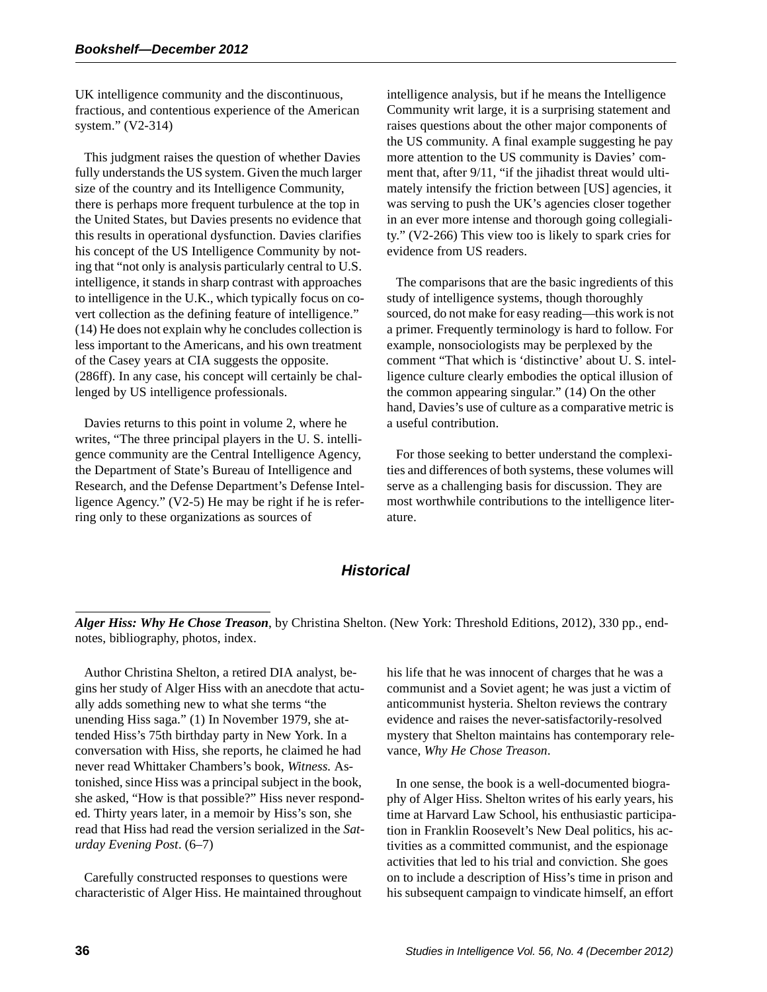UK intelligence community and the discontinuous, fractious, and contentious experience of the American system." (V2-314)

This judgment raises the question of whether Davies fully understands the US system. Given the much larger size of the country and its Intelligence Community, there is perhaps more frequent turbulence at the top in the United States, but Davies presents no evidence that this results in operational dysfunction. Davies clarifies his concept of the US Intelligence Community by noting that "not only is analysis particularly central to U.S. intelligence, it stands in sharp contrast with approaches to intelligence in the U.K., which typically focus on covert collection as the defining feature of intelligence." (14) He does not explain why he concludes collection is less important to the Americans, and his own treatment of the Casey years at CIA suggests the opposite. (286ff). In any case, his concept will certainly be challenged by US intelligence professionals.

Davies returns to this point in volume 2, where he writes, "The three principal players in the U. S. intelligence community are the Central Intelligence Agency, the Department of State's Bureau of Intelligence and Research, and the Defense Department's Defense Intelligence Agency." (V2-5) He may be right if he is referring only to these organizations as sources of

intelligence analysis, but if he means the Intelligence Community writ large, it is a surprising statement and raises questions about the other major components of the US community. A final example suggesting he pay more attention to the US community is Davies' comment that, after 9/11, "if the jihadist threat would ultimately intensify the friction between [US] agencies, it was serving to push the UK's agencies closer together in an ever more intense and thorough going collegiality." (V2-266) This view too is likely to spark cries for evidence from US readers.

The comparisons that are the basic ingredients of this study of intelligence systems, though thoroughly sourced, do not make for easy reading—this work is not a primer. Frequently terminology is hard to follow. For example, nonsociologists may be perplexed by the comment "That which is 'distinctive' about U. S. intelligence culture clearly embodies the optical illusion of the common appearing singular." (14) On the other hand, Davies's use of culture as a comparative metric is a useful contribution.

For those seeking to better understand the complexities and differences of both systems, these volumes will serve as a challenging basis for discussion. They are most worthwhile contributions to the intelligence literature.

# *Historical*

*Alger Hiss: Why He Chose Treason*, by Christina Shelton. (New York: Threshold Editions, 2012), 330 pp., endnotes, bibliography, photos, index.

Author Christina Shelton, a retired DIA analyst, begins her study of Alger Hiss with an anecdote that actually adds something new to what she terms "the unending Hiss saga." (1) In November 1979, she attended Hiss's 75th birthday party in New York. In a conversation with Hiss, she reports, he claimed he had never read Whittaker Chambers's book, *Witness.* Astonished, since Hiss was a principal subject in the book, she asked, "How is that possible?" Hiss never responded. Thirty years later, in a memoir by Hiss's son, she read that Hiss had read the version serialized in the *Saturday Evening Post*. (6–7)

Carefully constructed responses to questions were characteristic of Alger Hiss. He maintained throughout his life that he was innocent of charges that he was a communist and a Soviet agent; he was just a victim of anticommunist hysteria. Shelton reviews the contrary evidence and raises the never-satisfactorily-resolved mystery that Shelton maintains has contemporary relevance, *Why He Chose Treason*.

In one sense, the book is a well-documented biography of Alger Hiss. Shelton writes of his early years, his time at Harvard Law School, his enthusiastic participation in Franklin Roosevelt's New Deal politics, his activities as a committed communist, and the espionage activities that led to his trial and conviction. She goes on to include a description of Hiss's time in prison and his subsequent campaign to vindicate himself, an effort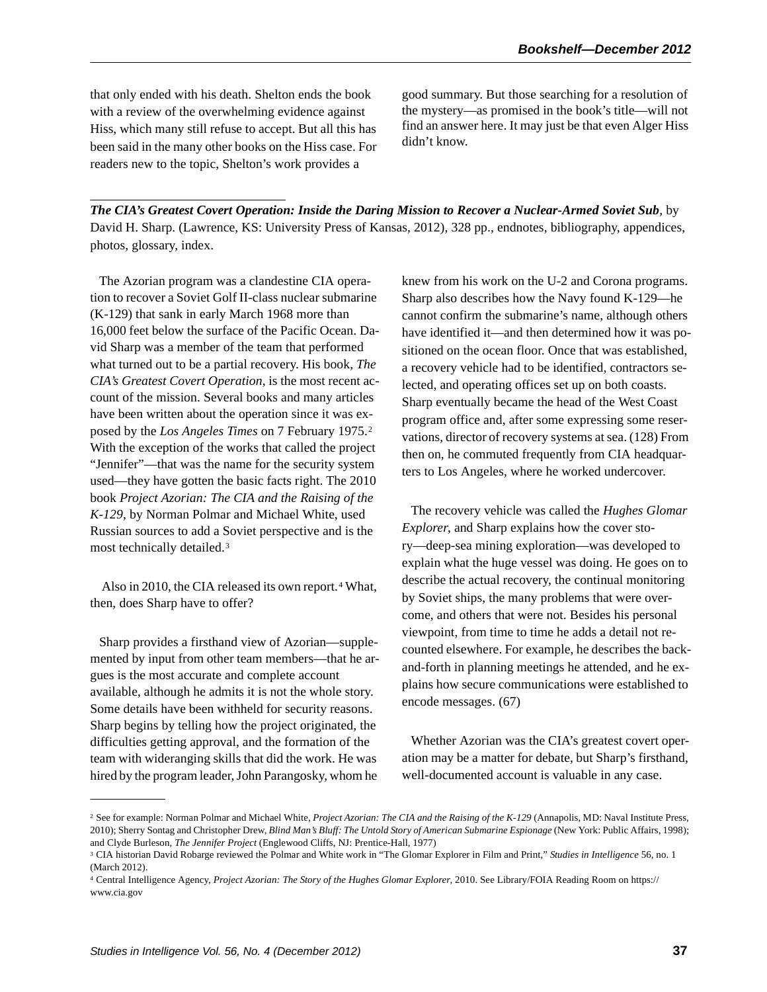that only ended with his death. Shelton ends the book with a review of the overwhelming evidence against Hiss, which many still refuse to accept. But all this has been said in the many other books on the Hiss case. For readers new to the topic, Shelton's work provides a

good summary. But those searching for a resolution of the mystery—as promised in the book's title—will not find an answer here. It may just be that even Alger Hiss didn't know.

*The CIA's Greatest Covert Operation: Inside the Daring Mission to Recover a Nuclear-Armed Soviet Sub*, by David H. Sharp. (Lawrence, KS: University Press of Kansas, 2012), 328 pp., endnotes, bibliography, appendices, photos, glossary, index.

The Azorian program was a clandestine CIA operation to recover a Soviet Golf II-class nuclear submarine (K-129) that sank in early March 1968 more than 16,000 feet below the surface of the Pacific Ocean. David Sharp was a member of the team that performed what turned out to be a partial recovery. His book, *The CIA's Greatest Covert Operation*, is the most recent account of the mission. Several books and many articles have been written about the operation since it was exposed by the *Los Angeles Times* on 7 February 1975. 2 With the exception of the works that called the project "Jennifer"—that was the name for the security system used—they have gotten the basic facts right. The 2010 book *Project Azorian: The CIA and the Raising of the K-129*, by Norman Polmar and Michael White, used Russian sources to add a Soviet perspective and is the most technically detailed.3

Also in 2010, the CIA released its own report.<sup>4</sup> What, then, does Sharp have to offer?

Sharp provides a firsthand view of Azorian—supplemented by input from other team members—that he argues is the most accurate and complete account available, although he admits it is not the whole story. Some details have been withheld for security reasons. Sharp begins by telling how the project originated, the difficulties getting approval, and the formation of the team with wideranging skills that did the work. He was hired by the program leader, John Parangosky, whom he

knew from his work on the U-2 and Corona programs. Sharp also describes how the Navy found K-129—he cannot confirm the submarine's name, although others have identified it—and then determined how it was positioned on the ocean floor. Once that was established, a recovery vehicle had to be identified, contractors selected, and operating offices set up on both coasts. Sharp eventually became the head of the West Coast program office and, after some expressing some reservations, director of recovery systems at sea. (128) From then on, he commuted frequently from CIA headquarters to Los Angeles, where he worked undercover.

The recovery vehicle was called the *Hughes Glomar Explorer*, and Sharp explains how the cover story—deep-sea mining exploration—was developed to explain what the huge vessel was doing. He goes on to describe the actual recovery, the continual monitoring by Soviet ships, the many problems that were overcome, and others that were not. Besides his personal viewpoint, from time to time he adds a detail not recounted elsewhere. For example, he describes the backand-forth in planning meetings he attended, and he explains how secure communications were established to encode messages. (67)

Whether Azorian was the CIA's greatest covert operation may be a matter for debate, but Sharp's firsthand, well-documented account is valuable in any case.

<sup>&</sup>lt;sup>2</sup> See for example: Norman Polmar and Michael White, Project Azorian: The CIA and the Raising of the K-129 (Annapolis, MD: Naval Institute Press, 2010); Sherry Sontag and Christopher Drew, *Blind Man's Bluff: The Untold Story of American Submarine Espionage* (New York: Public Affairs, 1998); and Clyde Burleson, *The Jennifer Project* (Englewood Cliffs, NJ: Prentice-Hall, 1977)

<sup>3</sup> CIA historian David Robarge reviewed the Polmar and White work in "The Glomar Explorer in Film and Print," *Studies in Intelligence* 56, no. 1 (March 2012).

<sup>4</sup> Central Intelligence Agency*, Project Azorian: The Story of the Hughes Glomar Explorer*, 2010. See Library/FOIA Reading Room on https:// www.cia.gov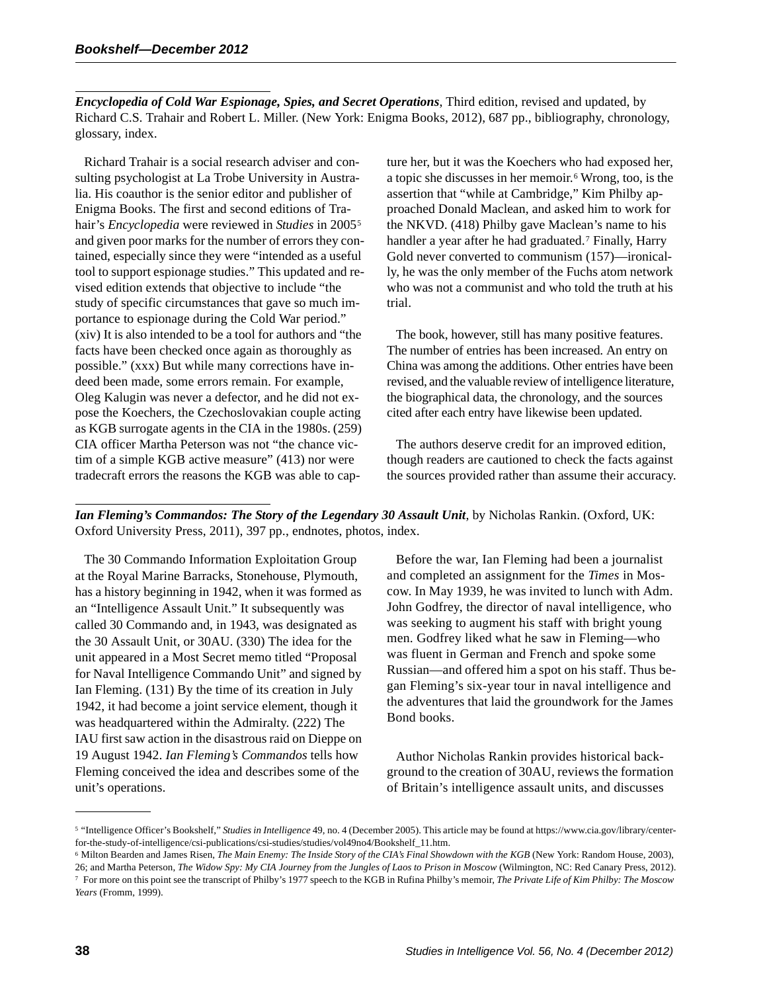*Encyclopedia of Cold War Espionage, Spies, and Secret Operations*, Third edition, revised and updated, by Richard C.S. Trahair and Robert L. Miller. (New York: Enigma Books, 2012), 687 pp., bibliography, chronology, glossary, index.

Richard Trahair is a social research adviser and consulting psychologist at La Trobe University in Australia. His coauthor is the senior editor and publisher of Enigma Books. The first and second editions of Trahair's *Encyclopedia* were reviewed in *Studies* in 2005 5 and given poor marks for the number of errors they contained, especially since they were "intended as a useful tool to support espionage studies." This updated and revised edition extends that objective to include "the study of specific circumstances that gave so much importance to espionage during the Cold War period." (xiv) It is also intended to be a tool for authors and "the facts have been checked once again as thoroughly as possible." (xxx) But while many corrections have indeed been made, some errors remain. For example, Oleg Kalugin was never a defector, and he did not expose the Koechers, the Czechoslovakian couple acting as KGB surrogate agents in the CIA in the 1980s. (259) CIA officer Martha Peterson was not "the chance victim of a simple KGB active measure" (413) nor were tradecraft errors the reasons the KGB was able to capture her, but it was the Koechers who had exposed her, a topic she discusses in her memoir.<sup>6</sup> Wrong, too, is the assertion that "while at Cambridge," Kim Philby approached Donald Maclean, and asked him to work for the NKVD. (418) Philby gave Maclean's name to his handler a year after he had graduated.<sup>7</sup> Finally, Harry Gold never converted to communism (157)—ironically, he was the only member of the Fuchs atom network who was not a communist and who told the truth at his trial.

The book, however, still has many positive features. The number of entries has been increased. An entry on China was among the additions. Other entries have been revised, and the valuable review of intelligence literature, the biographical data, the chronology, and the sources cited after each entry have likewise been updated.

The authors deserve credit for an improved edition, though readers are cautioned to check the facts against the sources provided rather than assume their accuracy.

*Ian Fleming's Commandos: The Story of the Legendary 30 Assault Unit*, by Nicholas Rankin. (Oxford, UK: Oxford University Press, 2011), 397 pp., endnotes, photos, index.

The 30 Commando Information Exploitation Group at the Royal Marine Barracks, Stonehouse, Plymouth, has a history beginning in 1942, when it was formed as an "Intelligence Assault Unit." It subsequently was called 30 Commando and, in 1943, was designated as the 30 Assault Unit, or 30AU. (330) The idea for the unit appeared in a Most Secret memo titled "Proposal for Naval Intelligence Commando Unit" and signed by Ian Fleming. (131) By the time of its creation in July 1942, it had become a joint service element, though it was headquartered within the Admiralty. (222) The IAU first saw action in the disastrous raid on Dieppe on 19 August 1942. *Ian Fleming's Commandos* tells how Fleming conceived the idea and describes some of the unit's operations.

Before the war, Ian Fleming had been a journalist and completed an assignment for the *Times* in Moscow. In May 1939, he was invited to lunch with Adm. John Godfrey, the director of naval intelligence, who was seeking to augment his staff with bright young men. Godfrey liked what he saw in Fleming—who was fluent in German and French and spoke some Russian—and offered him a spot on his staff. Thus began Fleming's six-year tour in naval intelligence and the adventures that laid the groundwork for the James Bond books.

Author Nicholas Rankin provides historical background to the creation of 30AU, reviews the formation of Britain's intelligence assault units, and discusses

<sup>5</sup> "Intelligence Officer's Bookshelf," *Studies in Intelligence* 49, no. 4 (December 2005). This article may be found at https://www.cia.gov/library/centerfor-the-study-of-intelligence/csi-publications/csi-studies/studies/vol49no4/Bookshelf\_11.htm.

<sup>6</sup> Milton Bearden and James Risen, *The Main Enemy: The Inside Story of the CIA's Final Showdown with the KGB* (New York: Random House, 2003), 26; and Martha Peterson, *The Widow Spy: My CIA Journey from the Jungles of Laos to Prison in Moscow* (Wilmington, NC: Red Canary Press, 2012). 7 For more on this point see the transcript of Philby's 1977 speech to the KGB in Rufina Philby's memoir, *The Private Life of Kim Philby: The Moscow Years* (Fromm, 1999).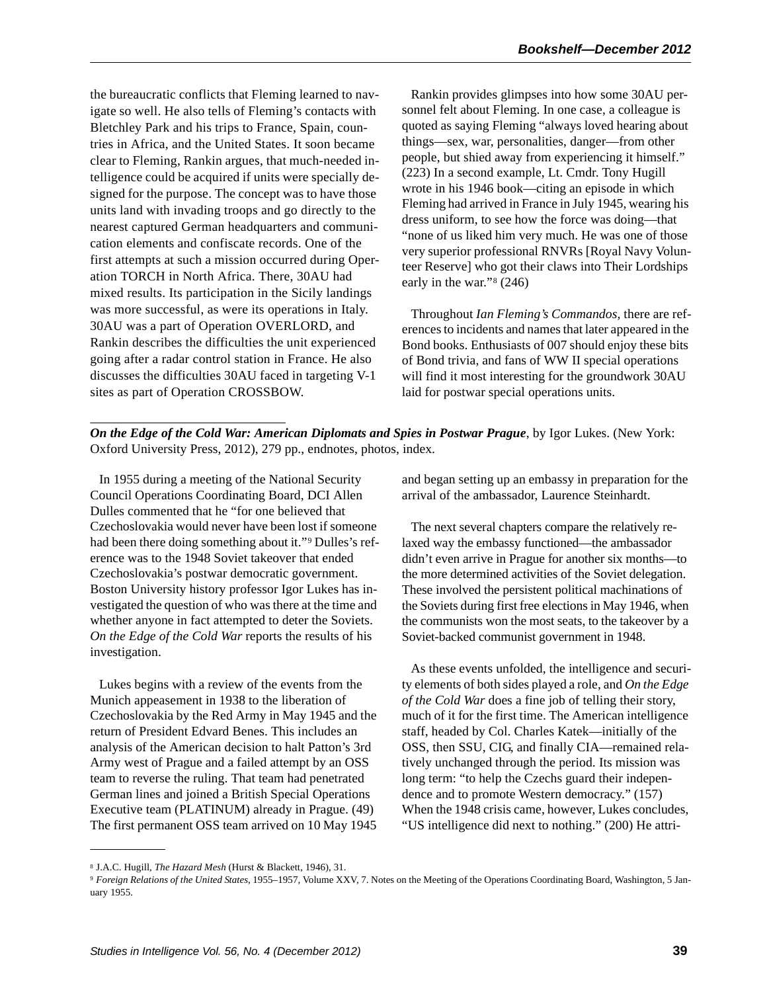the bureaucratic conflicts that Fleming learned to navigate so well. He also tells of Fleming's contacts with Bletchley Park and his trips to France, Spain, countries in Africa, and the United States. It soon became clear to Fleming, Rankin argues, that much-needed intelligence could be acquired if units were specially designed for the purpose. The concept was to have those units land with invading troops and go directly to the nearest captured German headquarters and communication elements and confiscate records. One of the first attempts at such a mission occurred during Operation TORCH in North Africa. There, 30AU had mixed results. Its participation in the Sicily landings was more successful, as were its operations in Italy. 30AU was a part of Operation OVERLORD, and Rankin describes the difficulties the unit experienced going after a radar control station in France. He also discusses the difficulties 30AU faced in targeting V-1 sites as part of Operation CROSSBOW.

Rankin provides glimpses into how some 30AU personnel felt about Fleming. In one case, a colleague is quoted as saying Fleming "always loved hearing about things—sex, war, personalities, danger—from other people, but shied away from experiencing it himself." (223) In a second example, Lt. Cmdr. Tony Hugill wrote in his 1946 book—citing an episode in which Fleming had arrived in France in July 1945, wearing his dress uniform, to see how the force was doing—that "none of us liked him very much. He was one of those very superior professional RNVRs [Royal Navy Volunteer Reserve] who got their claws into Their Lordships early in the war." $8(246)$ 

Throughout *Ian Fleming's Commandos,* there are references to incidents and names that later appeared in the Bond books. Enthusiasts of 007 should enjoy these bits of Bond trivia, and fans of WW II special operations will find it most interesting for the groundwork 30AU laid for postwar special operations units.

*On the Edge of the Cold War: American Diplomats and Spies in Postwar Prague*, by Igor Lukes. (New York: Oxford University Press, 2012), 279 pp., endnotes, photos, index.

In 1955 during a meeting of the National Security Council Operations Coordinating Board, DCI Allen Dulles commented that he "for one believed that Czechoslovakia would never have been lost if someone had been there doing something about it."<sup>9</sup> Dulles's reference was to the 1948 Soviet takeover that ended Czechoslovakia's postwar democratic government. Boston University history professor Igor Lukes has investigated the question of who was there at the time and whether anyone in fact attempted to deter the Soviets. *On the Edge of the Cold War* reports the results of his investigation.

Lukes begins with a review of the events from the Munich appeasement in 1938 to the liberation of Czechoslovakia by the Red Army in May 1945 and the return of President Edvard Benes. This includes an analysis of the American decision to halt Patton's 3rd Army west of Prague and a failed attempt by an OSS team to reverse the ruling. That team had penetrated German lines and joined a British Special Operations Executive team (PLATINUM) already in Prague. (49) The first permanent OSS team arrived on 10 May 1945

and began setting up an embassy in preparation for the arrival of the ambassador, Laurence Steinhardt.

The next several chapters compare the relatively relaxed way the embassy functioned—the ambassador didn't even arrive in Prague for another six months—to the more determined activities of the Soviet delegation. These involved the persistent political machinations of the Soviets during first free elections in May 1946, when the communists won the most seats, to the takeover by a Soviet-backed communist government in 1948.

As these events unfolded, the intelligence and security elements of both sides played a role, and *On the Edge of the Cold War* does a fine job of telling their story, much of it for the first time. The American intelligence staff, headed by Col. Charles Katek—initially of the OSS, then SSU, CIG, and finally CIA—remained relatively unchanged through the period. Its mission was long term: "to help the Czechs guard their independence and to promote Western democracy." (157) When the 1948 crisis came, however, Lukes concludes, "US intelligence did next to nothing." (200) He attri-

<sup>8</sup> J.A.C. Hugill, *The Hazard Mesh* (Hurst & Blackett, 1946), 31.

<sup>9</sup> *Foreign Relations of the United States*, 1955–1957, Volume XXV, 7. Notes on the Meeting of the Operations Coordinating Board, Washington, 5 January 1955.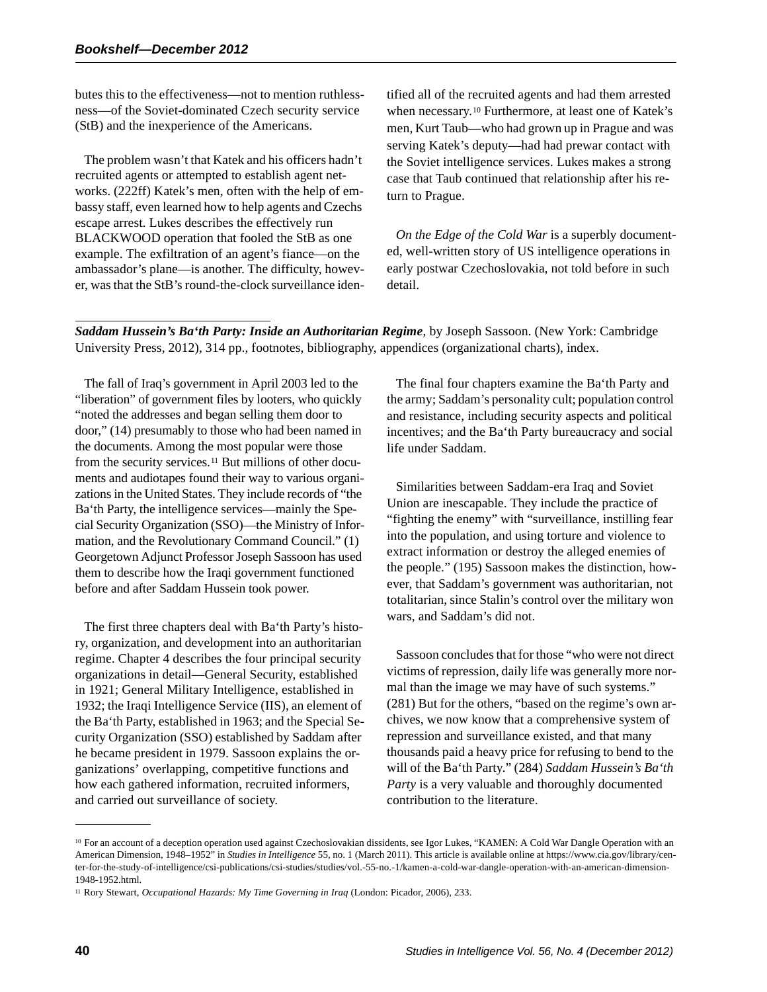butes this to the effectiveness—not to mention ruthlessness—of the Soviet-dominated Czech security service (StB) and the inexperience of the Americans.

The problem wasn't that Katek and his officers hadn't recruited agents or attempted to establish agent networks. (222ff) Katek's men, often with the help of embassy staff, even learned how to help agents and Czechs escape arrest. Lukes describes the effectively run BLACKWOOD operation that fooled the StB as one example. The exfiltration of an agent's fiance—on the ambassador's plane—is another. The difficulty, however, was that the StB's round-the-clock surveillance identified all of the recruited agents and had them arrested when necessary.<sup>10</sup> Furthermore, at least one of Katek's men, Kurt Taub—who had grown up in Prague and was serving Katek's deputy—had had prewar contact with the Soviet intelligence services. Lukes makes a strong case that Taub continued that relationship after his return to Prague.

*On the Edge of the Cold War* is a superbly documented, well-written story of US intelligence operations in early postwar Czechoslovakia, not told before in such detail.

*Saddam Hussein's Ba'th Party: Inside an Authoritarian Regime*, by Joseph Sassoon. (New York: Cambridge University Press, 2012), 314 pp., footnotes, bibliography, appendices (organizational charts), index.

The fall of Iraq's government in April 2003 led to the "liberation" of government files by looters, who quickly "noted the addresses and began selling them door to door," (14) presumably to those who had been named in the documents. Among the most popular were those from the security services.<sup>11</sup> But millions of other documents and audiotapes found their way to various organizations in the United States. They include records of "the Ba'th Party, the intelligence services—mainly the Special Security Organization (SSO)—the Ministry of Information, and the Revolutionary Command Council." (1) Georgetown Adjunct Professor Joseph Sassoon has used them to describe how the Iraqi government functioned before and after Saddam Hussein took power.

The first three chapters deal with Ba'th Party's history, organization, and development into an authoritarian regime. Chapter 4 describes the four principal security organizations in detail—General Security, established in 1921; General Military Intelligence, established in 1932; the Iraqi Intelligence Service (IIS), an element of the Ba'th Party, established in 1963; and the Special Security Organization (SSO) established by Saddam after he became president in 1979. Sassoon explains the organizations' overlapping, competitive functions and how each gathered information, recruited informers, and carried out surveillance of society.

The final four chapters examine the Ba'th Party and the army; Saddam's personality cult; population control and resistance, including security aspects and political incentives; and the Ba'th Party bureaucracy and social life under Saddam.

Similarities between Saddam-era Iraq and Soviet Union are inescapable. They include the practice of "fighting the enemy" with "surveillance, instilling fear into the population, and using torture and violence to extract information or destroy the alleged enemies of the people." (195) Sassoon makes the distinction, however, that Saddam's government was authoritarian, not totalitarian, since Stalin's control over the military won wars, and Saddam's did not.

Sassoon concludes that for those "who were not direct victims of repression, daily life was generally more normal than the image we may have of such systems." (281) But for the others, "based on the regime's own archives, we now know that a comprehensive system of repression and surveillance existed, and that many thousands paid a heavy price for refusing to bend to the will of the Ba'th Party." (284) *Saddam Hussein's Ba'th Party* is a very valuable and thoroughly documented contribution to the literature.

<sup>&</sup>lt;sup>10</sup> For an account of a deception operation used against Czechoslovakian dissidents, see Igor Lukes, "KAMEN: A Cold War Dangle Operation with an American Dimension, 1948–1952" in *Studies in Intelligence* 55, no. 1 (March 2011). This article is available online at https://www.cia.gov/library/center-for-the-study-of-intelligence/csi-publications/csi-studies/studies/vol.-55-no.-1/kamen-a-cold-war-dangle-operation-with-an-american-dimension-1948-1952.html.

<sup>11</sup> Rory Stewart, *Occupational Hazards: My Time Governing in Iraq* (London: Picador, 2006), 233.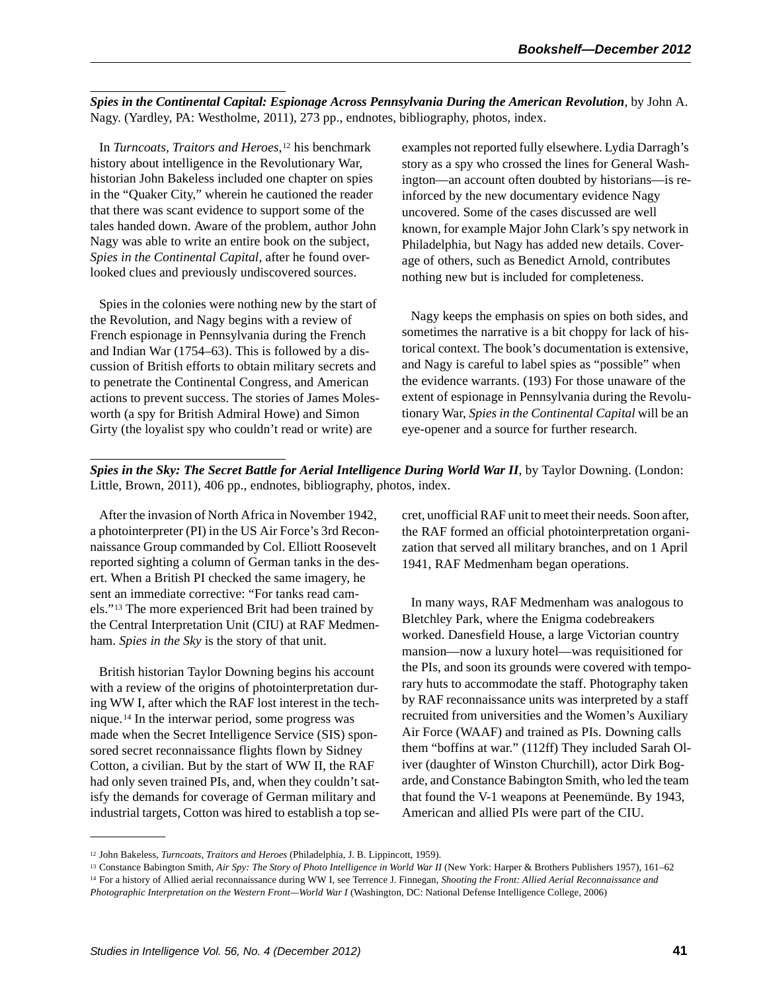*Spies in the Continental Capital: Espionage Across Pennsylvania During the American Revolution*, by John A. Nagy. (Yardley, PA: Westholme, 2011), 273 pp., endnotes, bibliography, photos, index.

In *Turncoats, Traitors and Heroes*,<sup>12</sup> his benchmark history about intelligence in the Revolutionary War, historian John Bakeless included one chapter on spies in the "Quaker City," wherein he cautioned the reader that there was scant evidence to support some of the tales handed down. Aware of the problem, author John Nagy was able to write an entire book on the subject, *Spies in the Continental Capital,* after he found overlooked clues and previously undiscovered sources.

Spies in the colonies were nothing new by the start of the Revolution, and Nagy begins with a review of French espionage in Pennsylvania during the French and Indian War (1754–63). This is followed by a discussion of British efforts to obtain military secrets and to penetrate the Continental Congress, and American actions to prevent success. The stories of James Molesworth (a spy for British Admiral Howe) and Simon Girty (the loyalist spy who couldn't read or write) are

examples not reported fully elsewhere. Lydia Darragh's story as a spy who crossed the lines for General Washington—an account often doubted by historians—is reinforced by the new documentary evidence Nagy uncovered. Some of the cases discussed are well known, for example Major John Clark's spy network in Philadelphia, but Nagy has added new details. Coverage of others, such as Benedict Arnold, contributes nothing new but is included for completeness.

Nagy keeps the emphasis on spies on both sides, and sometimes the narrative is a bit choppy for lack of historical context. The book's documentation is extensive, and Nagy is careful to label spies as "possible" when the evidence warrants. (193) For those unaware of the extent of espionage in Pennsylvania during the Revolutionary War, *Spies in the Continental Capital* will be an eye-opener and a source for further research.

**Spies in the Sky: The Secret Battle for Aerial Intelligence During World War II, by Taylor Downing. (London:** Little, Brown, 2011), 406 pp., endnotes, bibliography, photos, index.

After the invasion of North Africa in November 1942, a photointerpreter (PI) in the US Air Force's 3rd Reconnaissance Group commanded by Col. Elliott Roosevelt reported sighting a column of German tanks in the desert. When a British PI checked the same imagery, he sent an immediate corrective: "For tanks read camels."<sup>13</sup> The more experienced Brit had been trained by the Central Interpretation Unit (CIU) at RAF Medmenham. *Spies in the Sky* is the story of that unit.

British historian Taylor Downing begins his account with a review of the origins of photointerpretation during WW I, after which the RAF lost interest in the technique.<sup>14</sup> In the interwar period, some progress was made when the Secret Intelligence Service (SIS) sponsored secret reconnaissance flights flown by Sidney Cotton, a civilian. But by the start of WW II, the RAF had only seven trained PIs, and, when they couldn't satisfy the demands for coverage of German military and industrial targets, Cotton was hired to establish a top secret, unofficial RAF unit to meet their needs. Soon after, the RAF formed an official photointerpretation organization that served all military branches, and on 1 April 1941, RAF Medmenham began operations.

In many ways, RAF Medmenham was analogous to Bletchley Park, where the Enigma codebreakers worked. Danesfield House, a large Victorian country mansion—now a luxury hotel—was requisitioned for the PIs, and soon its grounds were covered with temporary huts to accommodate the staff. Photography taken by RAF reconnaissance units was interpreted by a staff recruited from universities and the Women's Auxiliary Air Force (WAAF) and trained as PIs. Downing calls them "boffins at war." (112ff) They included Sarah Oliver (daughter of Winston Churchill), actor Dirk Bogarde, and Constance Babington Smith, who led the team that found the V-1 weapons at Peenemünde. By 1943, American and allied PIs were part of the CIU.

<sup>12</sup> John Bakeless, *Turncoats, Traitors and Heroes* (Philadelphia, J. B. Lippincott, 1959).

<sup>&</sup>lt;sup>13</sup> Constance Babington Smith, Air Spy: The Story of Photo Intelligence in World War II (New York: Harper & Brothers Publishers 1957), 161–62<br><sup>14</sup> For a history of Allied aerial reconnaissance during WW I, see Terrence J

*Photographic Interpretation on the Western Front—World War I* (Washington, DC: National Defense Intelligence College, 2006)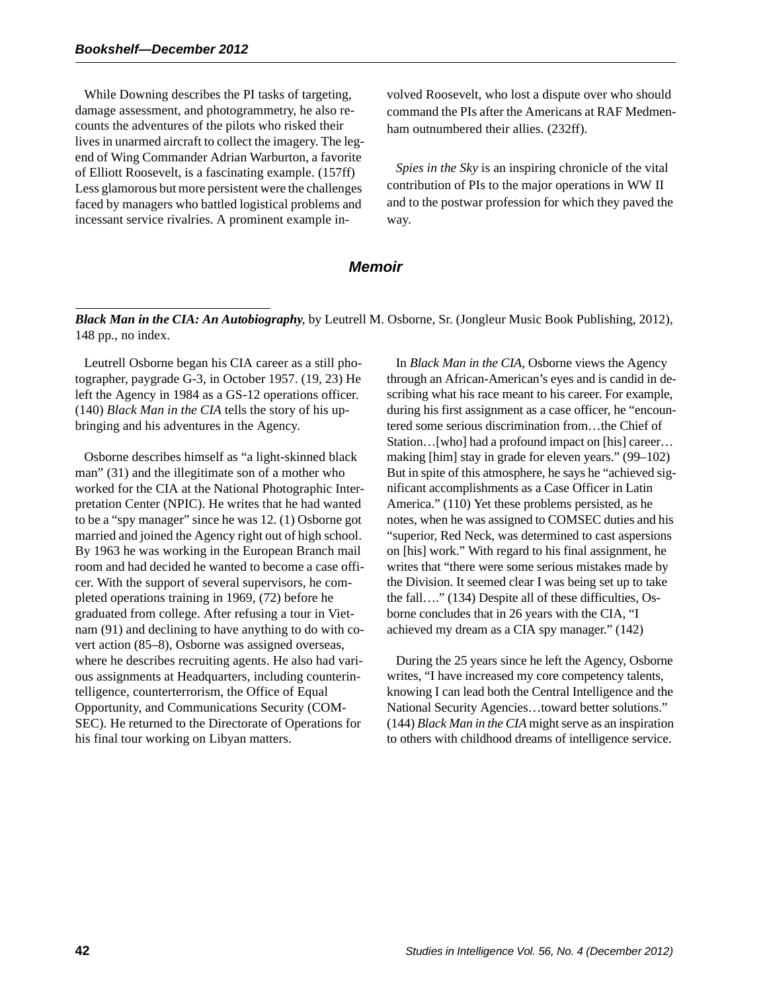While Downing describes the PI tasks of targeting, damage assessment, and photogrammetry, he also recounts the adventures of the pilots who risked their lives in unarmed aircraft to collect the imagery. The legend of Wing Commander Adrian Warburton, a favorite of Elliott Roosevelt, is a fascinating example. (157ff) Less glamorous but more persistent were the challenges faced by managers who battled logistical problems and incessant service rivalries. A prominent example involved Roosevelt, who lost a dispute over who should command the PIs after the Americans at RAF Medmenham outnumbered their allies. (232ff).

*Spies in the Sky* is an inspiring chronicle of the vital contribution of PIs to the major operations in WW II and to the postwar profession for which they paved the way.

#### *Memoir*

*Black Man in the CIA: An Autobiography*, by Leutrell M. Osborne, Sr. (Jongleur Music Book Publishing, 2012), 148 pp., no index.

Leutrell Osborne began his CIA career as a still photographer, paygrade G-3, in October 1957. (19, 23) He left the Agency in 1984 as a GS-12 operations officer. (140) *Black Man in the CIA* tells the story of his upbringing and his adventures in the Agency.

Osborne describes himself as "a light-skinned black man" (31) and the illegitimate son of a mother who worked for the CIA at the National Photographic Interpretation Center (NPIC). He writes that he had wanted to be a "spy manager" since he was 12. (1) Osborne got married and joined the Agency right out of high school. By 1963 he was working in the European Branch mail room and had decided he wanted to become a case officer. With the support of several supervisors, he completed operations training in 1969, (72) before he graduated from college. After refusing a tour in Vietnam (91) and declining to have anything to do with covert action (85–8), Osborne was assigned overseas, where he describes recruiting agents. He also had various assignments at Headquarters, including counterintelligence, counterterrorism, the Office of Equal Opportunity, and Communications Security (COM-SEC). He returned to the Directorate of Operations for his final tour working on Libyan matters.

In *Black Man in the CIA*, Osborne views the Agency through an African-American's eyes and is candid in describing what his race meant to his career. For example, during his first assignment as a case officer, he "encountered some serious discrimination from…the Chief of Station…[who] had a profound impact on [his] career… making [him] stay in grade for eleven years." (99–102) But in spite of this atmosphere, he says he "achieved significant accomplishments as a Case Officer in Latin America." (110) Yet these problems persisted, as he notes, when he was assigned to COMSEC duties and his "superior, Red Neck, was determined to cast aspersions on [his] work." With regard to his final assignment, he writes that "there were some serious mistakes made by the Division. It seemed clear I was being set up to take the fall…." (134) Despite all of these difficulties, Osborne concludes that in 26 years with the CIA, "I achieved my dream as a CIA spy manager." (142)

During the 25 years since he left the Agency, Osborne writes, "I have increased my core competency talents, knowing I can lead both the Central Intelligence and the National Security Agencies…toward better solutions." (144) *Black Man in the CIA* might serve as an inspiration to others with childhood dreams of intelligence service.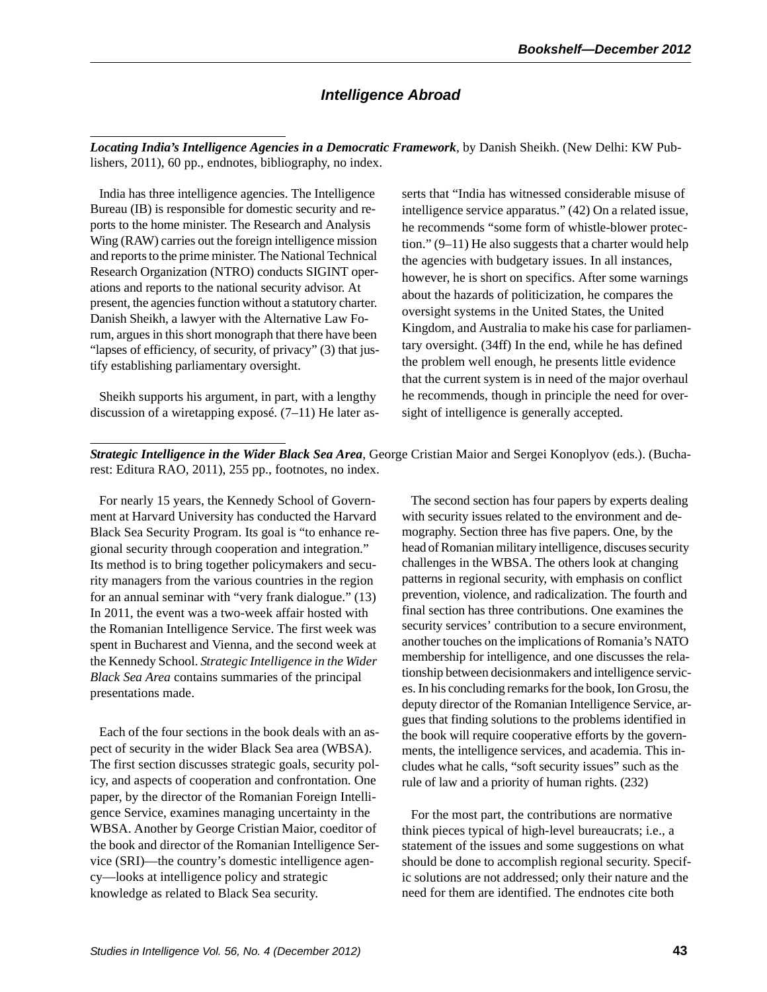# *Intelligence Abroad*

*Locating India's Intelligence Agencies in a Democratic Framework*, by Danish Sheikh. (New Delhi: KW Publishers, 2011), 60 pp., endnotes, bibliography, no index.

India has three intelligence agencies. The Intelligence Bureau (IB) is responsible for domestic security and reports to the home minister. The Research and Analysis Wing (RAW) carries out the foreign intelligence mission and reports to the prime minister. The National Technical Research Organization (NTRO) conducts SIGINT operations and reports to the national security advisor. At present, the agencies function without a statutory charter. Danish Sheikh, a lawyer with the Alternative Law Forum, argues in this short monograph that there have been "lapses of efficiency, of security, of privacy" (3) that justify establishing parliamentary oversight.

Sheikh supports his argument, in part, with a lengthy discussion of a wiretapping exposé. (7–11) He later as-

serts that "India has witnessed considerable misuse of intelligence service apparatus." (42) On a related issue, he recommends "some form of whistle-blower protection." (9–11) He also suggests that a charter would help the agencies with budgetary issues. In all instances, however, he is short on specifics. After some warnings about the hazards of politicization, he compares the oversight systems in the United States, the United Kingdom, and Australia to make his case for parliamentary oversight. (34ff) In the end, while he has defined the problem well enough, he presents little evidence that the current system is in need of the major overhaul he recommends, though in principle the need for oversight of intelligence is generally accepted.

*Strategic Intelligence in the Wider Black Sea Area*, George Cristian Maior and Sergei Konoplyov (eds.). (Bucharest: Editura RAO, 2011), 255 pp., footnotes, no index.

For nearly 15 years, the Kennedy School of Government at Harvard University has conducted the Harvard Black Sea Security Program. Its goal is "to enhance regional security through cooperation and integration." Its method is to bring together policymakers and security managers from the various countries in the region for an annual seminar with "very frank dialogue." (13) In 2011, the event was a two-week affair hosted with the Romanian Intelligence Service. The first week was spent in Bucharest and Vienna, and the second week at the Kennedy School. *Strategic Intelligence in the Wider Black Sea Area* contains summaries of the principal presentations made.

Each of the four sections in the book deals with an aspect of security in the wider Black Sea area (WBSA). The first section discusses strategic goals, security policy, and aspects of cooperation and confrontation. One paper, by the director of the Romanian Foreign Intelligence Service, examines managing uncertainty in the WBSA. Another by George Cristian Maior, coeditor of the book and director of the Romanian Intelligence Service (SRI)—the country's domestic intelligence agency—looks at intelligence policy and strategic knowledge as related to Black Sea security.

The second section has four papers by experts dealing with security issues related to the environment and demography. Section three has five papers. One, by the head of Romanian military intelligence, discuses security challenges in the WBSA. The others look at changing patterns in regional security, with emphasis on conflict prevention, violence, and radicalization. The fourth and final section has three contributions. One examines the security services' contribution to a secure environment, another touches on the implications of Romania's NATO membership for intelligence, and one discusses the relationship between decisionmakers and intelligence services. In his concluding remarks for the book, Ion Grosu, the deputy director of the Romanian Intelligence Service, argues that finding solutions to the problems identified in the book will require cooperative efforts by the governments, the intelligence services, and academia. This includes what he calls, "soft security issues" such as the rule of law and a priority of human rights. (232)

For the most part, the contributions are normative think pieces typical of high-level bureaucrats; i.e., a statement of the issues and some suggestions on what should be done to accomplish regional security. Specific solutions are not addressed; only their nature and the need for them are identified. The endnotes cite both